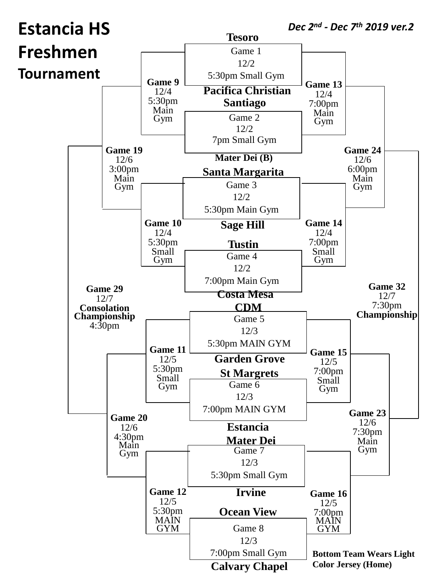